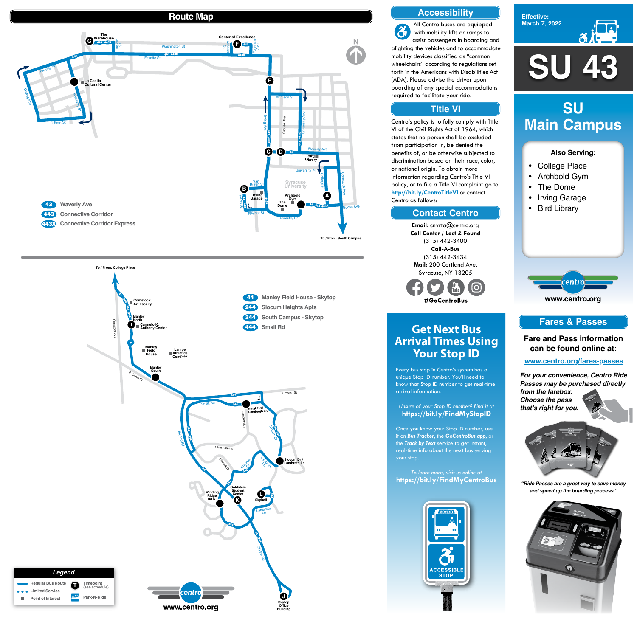**SU 43**





## **Also Serving:**

- College Place
- Archbold Gym
- The Dome
- Irving Garage
- Bird Library

www.centro.org

centro

# **SU Main Campus**

# **Get Next Bus Arrival Times Using Your Stop ID**

Every bus stop in Centro's system has a unique Stop ID number. You'll need to know that Stop ID number to get real-time arrival information.

## *Unsure of your Stop ID number? Find it at* **https://bit.ly/FindMyStopID**

Once you know your Stop ID number, use it on *Bus Tracker*, the *GoCentroBus app*, or the *Track by Text* service to get instant, real-time info about the next bus serving your stop.

### *To learn more, visit us online at* **https://bit.ly/FindMyCentroBus**



# **Route Map**







## **Accessibility**

## **Contact Centro**

## **Title VI**

All Centro buses are equipped  $\ddot{\alpha}$ with mobility lifts or ramps to assist passengers in boarding and alighting the vehicles and to accommodate mobility devices classified as "common wheelchairs" according to regulations set forth in the Americans with Disabilities Act (ADA). Please advise the driver upon boarding of any special accommodations required to facilitate your ride.

Centro's policy is to fully comply with Title VI of the Civil Rights Act of 1964, which states that no person shall be excluded from participation in, be denied the benefits of, or be otherwise subjected to discrimination based on their race, color, or national origin. To obtain more information regarding Centro's Title VI policy, or to file a Title VI complaint go to **http://bit.ly/CentroTitleVI** or contact Centro as follows:

> **Email:** cnyrta@centro.org **Call Center / Lost & Found** (315) 442-3400 **Call-A-Bus** (315) 442-3434 **Mail:** 200 Cortland Ave, Syracuse, NY 13205



## **Fares & Passes**

**Fare and Pass information can be found online at:**

**www.centro.org/fares-passes**

*"Ride Passes are a great way to save money and speed up the boarding process."*



*For your convenience, Centro Ride Passes may be purchased directly from the farebox. Choose the pass that's right for you.*

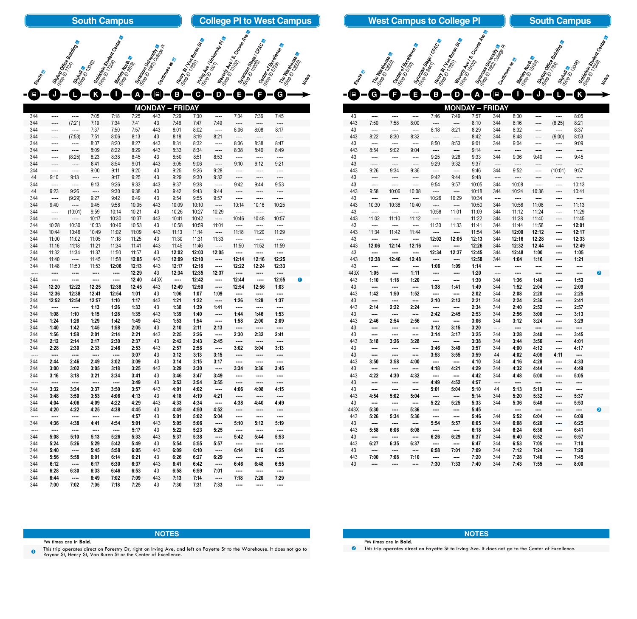|                        |                |                       |                | <b>South Campus</b>            |                |                      |                    |                                                             |                                                 |                                 | <b>College PI to West Campus</b> |                                               |                     |
|------------------------|----------------|-----------------------|----------------|--------------------------------|----------------|----------------------|--------------------|-------------------------------------------------------------|-------------------------------------------------|---------------------------------|----------------------------------|-----------------------------------------------|---------------------|
|                        |                |                       |                |                                |                |                      |                    |                                                             |                                                 |                                 |                                  |                                               |                     |
|                        |                |                       |                | <b>Soldstein Strash Center</b> |                |                      |                    | <b>Memp St, I<sub>gn</sub></b><br>(Sto 10 1734m Burem St, e | Ining A <sub>les / Uni<sub>terpr</sub>ing</sub> | I (Siavent Ave ) S. Crouse Ave. |                                  |                                               |                     |
|                        |                | Strop Office Building |                |                                |                | Stracture University |                    |                                                             |                                                 |                                 | Syracuse Stage / CRACes          | Cembror<br><sup>(Sign DorfScepter</sup> ence) |                     |
|                        |                |                       |                |                                |                |                      |                    |                                                             |                                                 |                                 |                                  |                                               | <b>The Warbouge</b> |
|                        |                |                       |                |                                |                |                      |                    |                                                             |                                                 |                                 |                                  |                                               |                     |
|                        |                |                       |                |                                |                |                      |                    |                                                             |                                                 |                                 |                                  |                                               |                     |
| Route                  |                | Strtain<br>Go to take |                | Mantey North                   |                | Continues as         |                    |                                                             |                                                 |                                 |                                  |                                               | Notes               |
|                        |                |                       |                |                                |                |                      |                    |                                                             |                                                 |                                 | F                                |                                               |                     |
| $\boxed{\blacksquare}$ |                |                       |                |                                | Δ              | $\blacksquare$       | B                  | C                                                           | D                                               | Ξ                               |                                  | G                                             |                     |
|                        |                |                       |                |                                |                | <b>MONDAY</b>        | <b>FRIDAY</b><br>I |                                                             |                                                 |                                 |                                  |                                               |                     |
| 344                    | ----           |                       | 7:05           | 7:18                           | 7:25           | 443                  | 7:29               | 7:30                                                        |                                                 | 7:34                            | 7:36                             | 7:45                                          |                     |
| 344                    | ----           | (7:21)                | 7:19           | 7:34                           | 7:41           | 43                   | 7:46               | 7:47                                                        | 7:49                                            | ----                            | ----                             | $---$                                         |                     |
| 344                    | ----           |                       | 7:37           | 7:50                           | 7:57           | 443                  | 8:01               | 8:02                                                        | $---$                                           | 8:06                            | 8:08                             | 8:17                                          |                     |
| 344                    | ----           | (7:53)                | 7:51           | 8:06                           | 8:13           | 43                   | 8:18               | 8:19                                                        | 8:21                                            | ----                            | ----                             | ----                                          |                     |
| 344                    | ----           | ----                  | 8:07           | 8:20                           | 8:27           | 443                  | 8:31               | 8:32                                                        | $---$                                           | 8:36                            | 8:38                             | 8:47                                          |                     |
| 344                    | ----           | $- - - -$             | 8:09           | 8:22                           | 8:29           | 443                  | 8:33               | 8:34                                                        | $---$                                           | 8:38                            | 8:40                             | 8:49                                          |                     |
| 344                    | $- - - -$      | (8:25)                | 8:23           | 8:38                           | 8:45           | 43                   | 8:50               | 8:51                                                        | 8:53                                            | ----                            | ----                             | ----                                          |                     |
| 344                    | ----           |                       | 8:41           | 8:54                           | 9:01           | 443                  | 9:05               | 9:06                                                        | ----                                            | 9:10                            | 9:12                             | 9:21                                          |                     |
| 244                    | ----           | ----                  | 9:00           | 9:11                           | 9:20           | 43                   | 9:25               | 9:26                                                        | 9:28                                            | ----                            | ----                             | ----                                          |                     |
| 44                     | 9:10           | 9:13                  | $---$          | 9:17                           | 9:25           | 43                   | 9:29               | 9:30                                                        | 9:32                                            | ----                            | ----                             | ----                                          |                     |
| 344                    | ----           | ----                  | 9:13           | 9:26                           | 9:33           | 443                  | 9:37               | 9:38                                                        | ----                                            | 9:42                            | 9:44                             | 9:53                                          |                     |
| 44                     | 9:23           | 9:26                  | $---$          | 9:30                           | 9:38           | 43                   | 9:42               | 9:43                                                        | 9:44                                            | ----                            | ----                             | ----                                          |                     |
| 344                    | $---$          | (9:29)                | 9:27           | 9:42                           | 9:49           | 43                   | 9:54               | 9:55                                                        | 9:57                                            | ----                            | ----                             | ----                                          |                     |
| 344                    | 9:40           |                       | 9:45           | 9:58                           | 10:05          | 443                  | 10:09              | 10:10                                                       | $---$                                           | 10:14                           | 10:16                            | 10:25                                         |                     |
| 344                    | ----           | (10:01)               | 9:59           | 10:14                          | 10:21          | 43                   | 10:26              | 10:27                                                       | 10:29                                           |                                 |                                  |                                               |                     |
| 344                    | ----           |                       | 10:17          | 10:30                          | 10:37          | 443                  | 10:41              | 10:42                                                       | $---$                                           | 10:46                           | 10:48                            | 10:57                                         |                     |
| 344                    | 10:28          | 10:30                 | 10:33<br>10:49 | 10:46<br>11:02                 | 10:53          | 43                   | 10:58              | 10:59                                                       | 11:01                                           | ----                            | ----                             | ----                                          |                     |
| 344                    | 10:44          | 10:46                 |                |                                | 11:09          | 443                  | 11:13              | 11:14                                                       | $\cdots$                                        | 11:18                           | 11:20                            | 11:29                                         |                     |
| 344<br>344             | 11:00<br>11:16 | 11:02<br>11:18        | 11:05<br>11:21 | 11:18<br>11:34                 | 11:25<br>11:41 | 43<br>443            | 11:30<br>11:45     | 11:31<br>11:46                                              | 11:33<br>$\cdots$                               | $\overline{a}$<br>11:50         | ----<br>11:52                    | ----<br>11:59                                 |                     |
| 344                    | 11:32          | 11:34                 | 11:37          | 11:50                          | 11:57          | 43                   | 12:02              | 12:03                                                       | 12:05                                           |                                 | ----                             |                                               |                     |
| 344                    | 11:40          | ----                  | 11:45          | 11:58                          | 12:05          | 443                  | 12:09              | 12:10                                                       | $\cdots$                                        | 12:14                           | 12:16                            | 12:25                                         |                     |
| 344                    | 11:48          | 11:50                 | 11:53          | 12:06                          | 12:13          | 443                  | 12:17              | 12:18                                                       |                                                 | 12:22                           | 12:24                            | 12:33                                         |                     |
| ----                   |                |                       |                | $\cdots$                       | 12:29          | 43                   | 12:34              | 12:35                                                       | 12:37                                           | ----                            |                                  | ----                                          |                     |
| 344                    | ----           |                       | ----           | ----                           | 12:40          | 443X                 |                    | 12:42                                                       | ----                                            | 12:44                           | $\cdots$                         | 12:55                                         | $\bullet$           |
| 344                    | 12:20          | 12:22                 | 12:25          | 12:38                          | 12:45          | 443                  | 12:49              | 12:50                                                       | $\cdots$                                        | 12:54                           | 12:56                            | 1:03                                          |                     |
| 344                    | 12:36          | 12:38                 | 12:41          | 12:54                          | 1:01           | 43                   | 1:06               | 1:07                                                        | 1:09                                            | $\cdots$                        | $\cdots$                         |                                               |                     |
| 344                    | 12:52          | 12:54                 | 12:57          | 1:10                           | 1:17           | 443                  | 1:21               | 1:22                                                        |                                                 | 1:26                            | 1:28                             | 1:37                                          |                     |
| 344                    | $\cdots$       | $\cdots$              | 1:13           | 1:26                           | 1:33           | 43                   | 1:38               | 1:39                                                        | 1:41                                            | $\cdots$                        | $\cdots$                         | $\cdots$                                      |                     |
| 344                    | 1:08           | 1:10                  | 1:15           | 1:28                           | 1:35           | 443                  | 1:39               | 1:40                                                        | $\cdots$                                        | 1:44                            | 1:46                             | 1:53                                          |                     |
| 344                    | 1:24           | 1:26                  | 1:29           | 1:42                           | 1:49           | 443                  | 1:53               | 1:54                                                        |                                                 | 1:58                            | 2:00                             | 2:09                                          |                     |
| 344                    | 1:40           | 1:42                  | 1:45           | 1:58                           | 2:05           | 43                   | 2:10               | 2:11                                                        | 2:13                                            | $\cdots$                        | $\cdots$                         |                                               |                     |
| 344                    | 1:56           | 1:58                  | 2:01           | 2:14                           | 2:21           | 443                  | 2:25               | 2:26                                                        | $\cdots$                                        | 2:30                            | 2:32                             | 2:41                                          |                     |
| 344                    | 2:12           | 2:14                  | 2:17           | 2:30                           | 2:37           | 43                   | 2:42               | 2:43                                                        | 2:45                                            |                                 | $\cdots$                         | $\cdots$                                      |                     |
| 344                    | 2:28           | 2:30                  | 2:33           | 2:46                           | 2:53           | 443                  | 2:57               | 2:58                                                        | ----                                            | 3:02                            | 3:04                             | 3:13                                          |                     |

This trip operates direct on Forestry Dr, right on Irving Ave, and left on Fayette St to the Warehouse. It does not go to Raynor St, Henry St, Van Buren St or the Center of Excellence.

 ---- **---- ---- ---- ---- 3:07** 43 **3:12 3:13 3:15 ---- ---- ---- 2:44 2:46 2:49 3:02 3:09** 43 **3:14 3:15 3:17 ---- ---- ---- 3:00 3:02 3:05 3:18 3:25** 443 **3:29 3:30 ---- 3:34 3:36 3:45 3:16 3:18 3:21 3:34 3:41** 43 **3:46 3:47 3:49 ---- ---- ----**  ---- **---- ---- ---- ---- 3:49** 43 **3:53 3:54 3:55 ---- ---- ---- 3:32 3:34 3:37 3:50 3:57** 443 **4:01 4:02 ---- 4:06 4:08 4:15 3:48 3:50 3:53 4:06 4:13** 43 **4:18 4:19 4:21 ---- ---- ---- 4:04 4:06 4:09 4:22 4:29** 443 **4:33 4:34 ---- 4:38 4:40 4:49 4:20 4:22 4:25 4:38 4:45** 43 **4:49 4:50 4:52 ---- ---- ----**  ---- **---- ---- ---- ---- 4:57** 43 **5:01 5:02 5:04 ---- ---- ---- 4:36 4:38 4:41 4:54 5:01** 443 **5:05 5:06 ---- 5:10 5:12 5:19** ---- **---- ---- ---- ---- 5:17** 43 **5:22 5:23 5:25 ---- ---- ---- 5:08 5:10 5:13 5:26 5:33** 443 **5:37 5:38 ---- 5:42 5:44 5:53 5:24 5:26 5:29 5:42 5:49** 43 **5:54 5:55 5:57 ---- ---- ---- 5:40 ---- 5:45 5:58 6:05** 443 **6:09 6:10 ---- 6:14 6:16 6:25 5:56 5:58 6:01 6:14 6:21** 43 **6:26 6:27 6:29 ---- ---- ---- 6:12 ---- 6:17 6:30 6:37** 443 **6:41 6:42 ---- 6:46 6:48 6:55 6:28 6:30 6:33 6:46 6:53** 43 **6:58 6:59 7:01 ---- ---- ---- 6:44 ---- 6:49 7:02 7:09** 443 **7:13 7:14 ---- 7:18 7:20 7:29 7:00 7:02 7:05 7:18 7:25** 43 **7:30 7:31 7:33 ---- ---- ----** 

### **NOTES**

PM times are in **Bold**.

|      |                          |                       |                          |                          | <b>WUNDAT – FRIDAT</b>   |       |                          |                          |                          |                                                                                                |                          |   |
|------|--------------------------|-----------------------|--------------------------|--------------------------|--------------------------|-------|--------------------------|--------------------------|--------------------------|------------------------------------------------------------------------------------------------|--------------------------|---|
| 43   | $\cdots$                 | ----                  | ----                     | 7:46                     | 7:49                     | 7:57  | 344                      | 8:00                     | ----                     | ----                                                                                           | 8:05                     |   |
| 443  | 7:50                     | 7:58                  | 8:00                     | $\overline{\phantom{a}}$ | ----                     | 8:10  | 344                      | 8:16                     | ----                     | (8:25)                                                                                         | 8:21                     |   |
| 43   | $\overline{\phantom{a}}$ | ----                  | ----                     | 8:18                     | 8:21                     | 8:29  | 344                      | 8:32                     | ----                     | $\overline{\phantom{a}}$                                                                       | 8:37                     |   |
| 443  | 8:22                     | 8:30                  | 8:32                     | $\overline{\phantom{a}}$ | $\overline{\phantom{a}}$ | 8:42  | 344                      | 8:48                     | ----                     | (9:00)                                                                                         | 8:53                     |   |
| 43   | ----                     | ----                  | $\overline{\phantom{a}}$ | 8:50                     | 8:53                     | 9:01  | 344                      | 9:04                     | ----                     | $\frac{1}{2} \left( \frac{1}{2} \right) \left( \frac{1}{2} \right) \left( \frac{1}{2} \right)$ | 9:09                     |   |
| 443  | 8:54                     | 9:02                  | 9:04                     | $\overline{\phantom{a}}$ | $\overline{\phantom{a}}$ | 9:14  | $---$                    | ----                     | $\overline{\phantom{a}}$ | $\overline{\phantom{a}}$                                                                       | $---$                    |   |
| 43   | $\qquad \qquad - - -$    | $\qquad \qquad - - -$ | ----                     | 9:25                     | 9:28                     | 9:33  | 344                      | 9:36                     | 9:40                     | $\frac{1}{2} \left( \frac{1}{2} \right) \left( \frac{1}{2} \right) \left( \frac{1}{2} \right)$ | 9:45                     |   |
| 43   | $\overline{\phantom{a}}$ | ----                  | $\overline{\phantom{a}}$ | 9:29                     | 9:32                     | 9:37  | $---$                    | $\overline{\phantom{a}}$ | $\cdots$                 | ----                                                                                           | $\overline{\phantom{a}}$ |   |
| 443  | 9:26                     | 9:34                  | 9:36                     | $\overline{\phantom{a}}$ | $\overline{\phantom{a}}$ | 9:46  | 344                      | 9:52                     | $\cdots$                 | (10:01)                                                                                        | 9:57                     |   |
| 43   | $\overline{\phantom{a}}$ | ----                  | $\overline{\phantom{a}}$ | 9:42                     | 9:44                     | 9:48  | $\overline{\phantom{a}}$ | ----                     | $\overline{\phantom{a}}$ | $\overline{\phantom{a}}$                                                                       | ----                     |   |
| 43   | $\frac{1}{2}$            | ----                  | $\overline{a}$           | 9:54                     | 9:57                     | 10:05 | 344                      | 10:08                    | $\overline{a}$           | $\cdots$                                                                                       | 10:13                    |   |
| 443  | 9:58                     | 10:06                 | 10:08                    | $\overline{\phantom{a}}$ | $\cdots$                 | 10:18 | 344                      | 10:24                    | 10:36                    | $\overline{\phantom{a}}$                                                                       | 10:41                    |   |
| 43   | ----                     | ----                  | $\overline{\phantom{a}}$ | 10:26                    | 10:29                    | 10:34 | ----                     | ----                     | ----                     | $---$                                                                                          | $\cdots$                 |   |
| 443  | 10:30                    | 10:38                 | 10:40                    | $\hspace{0.05cm}---$     | $\overline{\phantom{a}}$ | 10:50 | 344                      | 10:56                    | 11:08                    | $\overline{a}$                                                                                 | 11:13                    |   |
| 43   | $\cdots$                 | $\qquad \qquad - - -$ | ----                     | 10:58                    | 11:01                    | 11:09 | 344                      | 11:12                    | 11:24                    | ----                                                                                           | 11:29                    |   |
| 443  | 11:02                    | 11:10                 | 11:12                    | $\cdots$                 | $\cdots$                 | 11:22 | 344                      | 11:28                    | 11:40                    |                                                                                                | 11:45                    |   |
| 43   |                          |                       |                          |                          |                          |       |                          |                          |                          | ----                                                                                           |                          |   |
|      | ----                     | ----                  | $\overline{\phantom{a}}$ | 11:30                    | 11:33                    | 11:41 | 344                      | 11:44                    | 11:56                    | ----                                                                                           | 12:01                    |   |
| 443  | 11:34                    | 11:42                 | 11:44                    | $\cdots$                 | $\cdots$                 | 11:54 | 344                      | 12:00                    | 12:12                    | ----                                                                                           | 12:17                    |   |
| 43   | ----                     | ----                  | ----                     | 12:02                    | 12:05                    | 12:13 | 344                      | 12:16                    | 12:28                    | ----                                                                                           | 12:33                    |   |
| 443  | 12:06                    | 12:14                 | 12:16                    | ----                     | ----                     | 12:26 | 344                      | 12:32                    | 12:44                    | ----                                                                                           | 12:49                    |   |
| 43   |                          | ----                  |                          | 12:34                    | 12:37                    | 12:45 | 344                      | 12:48                    | 1:00                     | ----                                                                                           | 1:05                     |   |
| 443  | 12:38                    | 12:46                 | 12:48                    | $\cdots$                 | ----                     | 12:58 | 344                      | 1:04                     | 1:16                     | ----                                                                                           | 1:21                     |   |
| 43   | ----                     | $\cdots$              | ----                     | 1:06                     | 1:09                     | 1:14  | $\qquad \qquad - - -$    | $\cdots$                 | $\cdots$                 | $\cdots$                                                                                       | ----                     |   |
| 443X | 1:05                     |                       | 1:11                     | $\cdots$                 | $\cdots$                 | 1:20  | $\overline{\phantom{a}}$ | $\cdots$                 |                          | $\cdots$                                                                                       |                          | 2 |
| 443  | 1:10                     | 1:18                  | 1:20                     | $\cdots$                 | ----                     | 1:30  | 344                      | 1:36                     | 1:48                     | ----                                                                                           | 1:53                     |   |
| 43   | $\cdots$                 |                       | ----                     | 1:38                     | 1:41                     | 1:49  | 344                      | 1:52                     | 2:04                     |                                                                                                | 2:09                     |   |
| 443  | 1:42                     | 1:50                  | 1:52                     | ----                     | ----                     | 2:02  | 344                      | 2:08                     | 2:20                     | ----                                                                                           | 2:25                     |   |
| 43   | ----                     | ----                  | ----                     | 2:10                     | 2:13                     | 2:21  | 344                      | 2:24                     | 2:36                     |                                                                                                | 2:41                     |   |
| 443  | 2:14                     | 2:22                  | 2:24                     | $\cdots$                 |                          | 2:34  | 344                      | 2:40                     | 2:52                     | ----                                                                                           | 2:57                     |   |
| 43   | $\cdots$                 | ----                  | $\cdots$                 | 2:42                     | 2:45                     | 2:53  | 344                      | 2:56                     | 3:08                     | ----                                                                                           | 3:13                     |   |
| 443  | 2:46                     | 2:54                  | 2:56                     | $\cdots$                 | $\cdots$                 | 3:06  | 344                      | 3:12                     | 3:24                     | ----                                                                                           | 3:29                     |   |
| 43   |                          | $\cdots$              | $\frac{1}{2}$            | 3:12                     | 3:15                     | 3:20  | $\overline{a}$           | $\cdots$                 |                          | ----                                                                                           | ----                     |   |
| 43   |                          |                       |                          | 3:14                     | 3:17                     | 3:25  | 344                      | 3:28                     | 3:40                     |                                                                                                | 3:45                     |   |
| 443  | 3:18                     | 3:26                  | 3:28                     | $\cdots$                 | $\cdots$                 | 3:38  | 344                      | 3:44                     | 3:56                     | ----                                                                                           | 4:01                     |   |
| 43   |                          | ----                  | ----                     | 3:46                     | 3:49                     | 3:57  | 344                      | 4:00                     | 4:12                     | ----                                                                                           | 4:17                     |   |
| 43   | $\cdots$                 | ----                  | $\cdots$                 | 3:53                     | 3:55                     | 3:59  | 44                       | 4:02                     | 4:08                     | 4:11                                                                                           | $\cdots$                 |   |
| 443  | 3:50                     | 3:58                  | 4:00                     | $\cdots$                 | $\cdots$                 | 4:10  | 344                      | 4:16                     | 4:28                     |                                                                                                | 4:33                     |   |
| 43   | $\cdots$                 | $\cdots$              |                          | 4:18                     | 4:21                     | 4:29  | 344                      | 4:32                     | 4:44                     |                                                                                                | 4:49                     |   |
| 443  | 4:22                     | 4:30                  | 4:32                     | ----                     | $\cdots$                 | 4:42  | 344                      | 4:48                     | 5:00                     | ----                                                                                           | 5:05                     |   |
| 43   |                          |                       |                          | 4:49                     | 4:52                     | 4:57  | $\overline{\phantom{a}}$ | $\cdots$                 | $\ddotsc$                | ----                                                                                           | ----                     |   |
| 43   | $\cdots$                 | ----                  | $\cdots$                 | 5:01                     | 5:04                     | 5:10  | 44                       | 5:13                     | 5:19                     | ----                                                                                           | ----                     |   |
| 443  | 4:54                     | 5:02                  | 5:04                     | $\cdots$                 | $\cdots$                 | 5:14  | 344                      | 5:20                     | 5:32                     | ----                                                                                           | 5:37                     |   |
| 43   | ----                     | ----                  |                          | 5:22                     | 5:25                     | 5:33  | 344                      | 5:36                     | 5:48                     |                                                                                                | 5:53                     |   |
| 443X | 5:30                     | ----                  | 5:36                     | $\cdots$                 | $\cdots$                 | 5:45  | $\overline{\phantom{a}}$ | $\cdots$                 | ----                     | ----                                                                                           | $\cdots$                 | 2 |
| 443  | 5:26                     | 5:34                  | 5:36                     | $\cdots$                 | $\cdots$                 | 5:46  | 344                      | 5:52                     | 6:04                     |                                                                                                | 6:09                     |   |
| 43   |                          | ----                  | ----                     | 5:54                     | 5:57                     | 6:05  | 344                      | 6:08                     | 6:20                     |                                                                                                | 6:25                     |   |
| 443  | 5:58                     | 6:06                  | 6:08                     | ----                     | ----                     | 6:18  | 344                      | 6:24                     | 6:36                     | ----                                                                                           | 6:41                     |   |
| 43   | ----                     | ----                  | ----                     | 6:26                     | 6:29                     | 6:37  | 344                      | 6:40                     | 6:52                     | ----                                                                                           | 6:57                     |   |
| 443  | 6:27                     | 6:35                  | 6:37                     | $\cdots$                 | $\cdots$                 | 6:47  | 344                      | 6:53                     | 7:05                     |                                                                                                | 7:10                     |   |
| 43   |                          | ----                  |                          |                          |                          | 7:09  | 344                      | 7:12                     |                          |                                                                                                |                          |   |
| 443  | ----<br>7:00             |                       | $\cdots$                 | 6:58                     | 7:01                     |       | 344                      | 7:28                     | 7:24                     |                                                                                                | 7:29                     |   |
| 43   |                          | 7:08<br>              | 7:10<br>                 | $\cdots$<br>7:30         | <br>7:33                 | 7:20  | 344                      | 7:43                     | 7:40<br>7:55             | ----                                                                                           | 7:45                     |   |
|      |                          |                       |                          |                          |                          | 7:40  |                          |                          |                          |                                                                                                | 8:00                     |   |
|      |                          |                       |                          |                          |                          |       |                          |                          |                          |                                                                                                |                          |   |





## **South Campus**

### **NOTES**

8 This trip operates direct on Fayette St to Irving Ave. It does not go to the Center of Excellence.

PM times are in **Bold**.